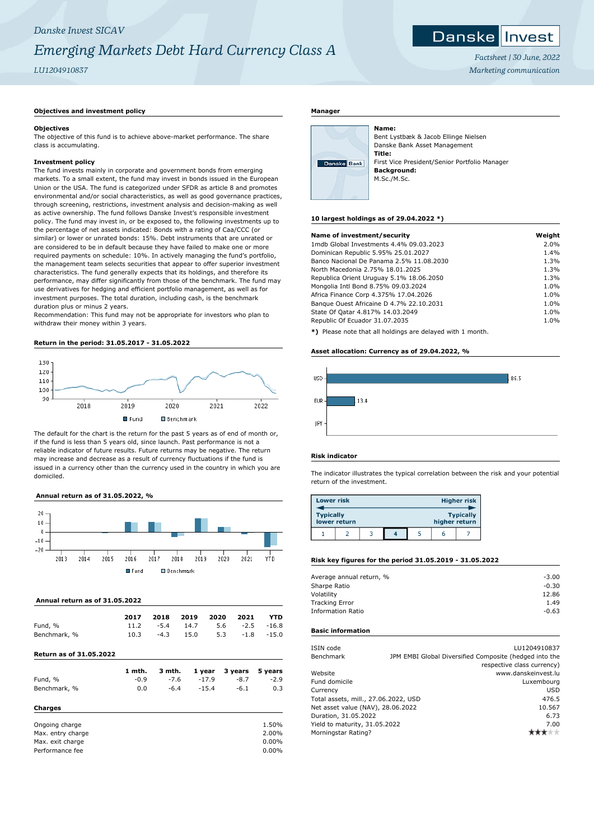## *Danske Invest SICAV Emerging Markets Debt Hard Currency Class A*

*LU1204910837*

## *Factsheet | 30 June, 2022 Marketing communication*

Invest

Danskel

## **Objectives and investment policy**

## **Objectives**

The objective of this fund is to achieve above-market performance. The share class is accumulating.

## **Investment policy**

The fund invests mainly in corporate and government bonds from emerging markets. To a small extent, the fund may invest in bonds issued in the European Union or the USA. The fund is categorized under SFDR as article 8 and promotes environmental and/or social characteristics, as well as good governance practices, through screening, restrictions, investment analysis and decision-making as well as active ownership. The fund follows Danske Invest's responsible investment policy. The fund may invest in, or be exposed to, the following investments up to the percentage of net assets indicated: Bonds with a rating of Caa/CCC (or similar) or lower or unrated bonds: 15%. Debt instruments that are unrated or are considered to be in default because they have failed to make one or more required payments on schedule: 10%. In actively managing the fund's portfolio, the management team selects securities that appear to offer superior investment characteristics. The fund generally expects that its holdings, and therefore its performance, may differ significantly from those of the benchmark. The fund may use derivatives for hedging and efficient portfolio management, as well as for investment purposes. The total duration, including cash, is the benchmark duration plus or minus 2 years.

Recommendation: This fund may not be appropriate for investors who plan to withdraw their money within 3 years.

## **Return in the period: 31.05.2017 - 31.05.2022**



The default for the chart is the return for the past 5 years as of end of month or, if the fund is less than 5 years old, since launch. Past performance is not a reliable indicator of future results. Future returns may be negative. The return may increase and decrease as a result of currency fluctuations if the fund is issued in a currency other than the currency used in the country in which you are domiciled.

## **Annual return as of 31.05.2022, %**



## **Annual return as of 31.05.2022**

|              | 2017 |        | 2018 2019 2020 2021            |                  | YTD |
|--------------|------|--------|--------------------------------|------------------|-----|
| Fund, %      | 11.2 |        | $-5.4$ 14.7 5.6 $-2.5$ $-16.8$ |                  |     |
| Benchmark, % | 10.3 | $-4.3$ | 15.0                           | $5.3 -1.8 -15.0$ |     |

## **Return as of 31.05.2022**

**Charges**

|              | 1 mth. |        |         | 3 mth. 1 year 3 years 5 years |        |
|--------------|--------|--------|---------|-------------------------------|--------|
| Fund, %      | $-0.9$ | -7.6   | $-17.9$ | $-8.7$                        | $-2.9$ |
| Benchmark, % | 0.0    | $-6.4$ | $-15.4$ | $-6.1$                        | 0.3    |

## Ongoing charge and the contract of the contract of the contract of the contract of the contract of the contract of the contract of the contract of the contract of the contract of the contract of the contract of the contrac Max. entry charge 2.00% and the control of the control of the 2.00% and the 2.00% and the control of the control of the control of the control of the control of the control of the control of the control of the control of t Max. exit charge  $0.00\%$ <br>Performance fee  $0.00\%$ Performance fee

## **Manager**



Bent Lystbæk & Jacob Ellinge Nielsen Danske Bank Asset Management **Title:** First Vice President/Senior Portfolio Manager **Background:** M.Sc./M.Sc.

## **10 largest holdings as of 29.04.2022 \*)**

**Name:**

| Name of investment/security                                | Weight |
|------------------------------------------------------------|--------|
| 1mdb Global Investments 4.4% 09.03.2023                    | 2.0%   |
| Dominican Republic 5.95% 25.01.2027                        | 1.4%   |
| Banco Nacional De Panama 2.5% 11.08.2030                   | 1.3%   |
| North Macedonia 2.75% 18.01.2025                           | 1.3%   |
| Republica Orient Uruguay 5.1% 18.06.2050                   | 1.3%   |
| Mongolia Intl Bond 8.75% 09.03.2024                        | 1.0%   |
| Africa Finance Corp 4.375% 17.04.2026                      | 1.0%   |
| Banque Ouest Africaine D 4.7% 22.10.2031                   | 1.0%   |
| State Of Qatar 4.817% 14.03.2049                           | 1.0%   |
| Republic Of Ecuador 31.07.2035                             | 1.0%   |
| *) Please note that all holdings are delayed with 1 month. |        |

**ise note that all holdings are delayed with 1 month.** 

## **Asset allocation: Currency as of 29.04.2022, %**



## **Risk indicator**

The indicator illustrates the typical correlation between the risk and your potential return of the investment.

| <b>Lower risk</b> |              |  |               | <b>Higher risk</b> |
|-------------------|--------------|--|---------------|--------------------|
| <b>Typically</b>  | lower return |  | higher return | <b>Typically</b>   |
|                   |              |  | h             |                    |

## **Risk key figures for the period 31.05.2019 - 31.05.2022**

| $-3.00$ |
|---------|
| $-0.30$ |
| 12.86   |
| 1.49    |
| $-0.63$ |
|         |

## **Basic information**

| ISIN code                            |        | LU1204910837                                           |
|--------------------------------------|--------|--------------------------------------------------------|
| Benchmark                            |        | JPM EMBI Global Diversified Composite (hedged into the |
|                                      |        | respective class currency)                             |
| Website                              |        | www.danskeinvest.lu                                    |
| Fund domicile                        |        | Luxembourg                                             |
| Currency                             |        | <b>USD</b>                                             |
| Total assets, mill., 27.06.2022, USD |        | 476.5                                                  |
| Net asset value (NAV), 28.06.2022    | 10.567 |                                                        |
| Duration, 31.05.2022                 |        | 6.73                                                   |
| Yield to maturity, 31.05.2022        |        | 7.00                                                   |
| Morningstar Rating?                  |        |                                                        |
|                                      |        |                                                        |